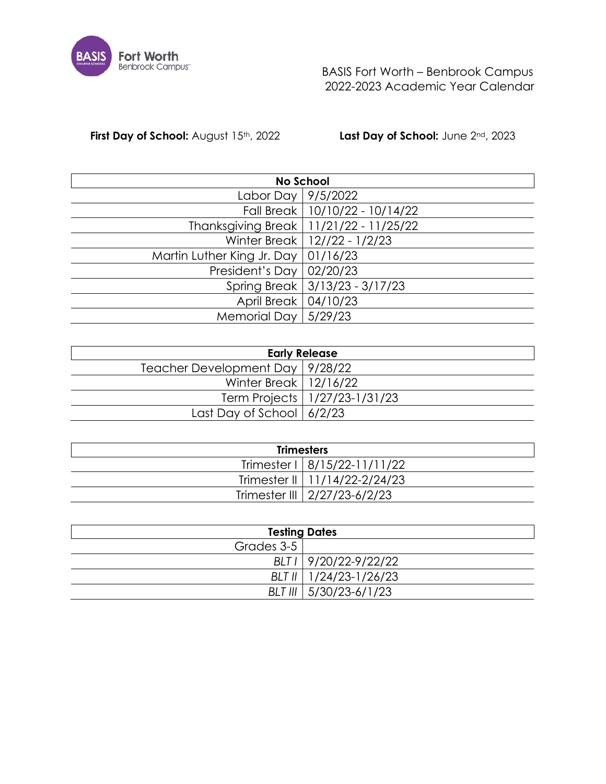

 BASIS Fort Worth – Benbrook Campus 2022-2023 Academic Year Calendar

**First Day of School:** August 15<sup>th</sup>, 2022 **Last Day of School:** June 2<sup>nd</sup>, 2023

|                                       | <b>No School</b>                         |
|---------------------------------------|------------------------------------------|
| Labor Day   9/5/2022                  |                                          |
|                                       | Fall Break   10/10/22 - 10/14/22         |
|                                       | Thanksgiving Break   11/21/22 - 11/25/22 |
|                                       | Winter Break   12//22 - 1/2/23           |
| Martin Luther King Jr. Day   01/16/23 |                                          |
| President's Day   $02/20/23$          |                                          |
|                                       | Spring Break   3/13/23 - 3/17/23         |
| April Break   04/10/23                |                                          |
| Memorial Day $ 5/29/23$               |                                          |

|                                   | <b>Early Release</b>            |
|-----------------------------------|---------------------------------|
| Teacher Development Day   9/28/22 |                                 |
| Winter Break   12/16/22           |                                 |
|                                   | Term Projects   1/27/23-1/31/23 |
| Last Day of School $ 6/2/23$      |                                 |

| <b>Trimesters</b> |                                 |  |  |  |  |  |  |  |  |
|-------------------|---------------------------------|--|--|--|--|--|--|--|--|
|                   | Trimester I   8/15/22-11/11/22  |  |  |  |  |  |  |  |  |
|                   | Trimester II   11/14/22-2/24/23 |  |  |  |  |  |  |  |  |
|                   | Trimester III   2/27/23-6/2/23  |  |  |  |  |  |  |  |  |

| <b>Testing Dates</b> |                          |  |  |  |  |  |  |  |  |
|----------------------|--------------------------|--|--|--|--|--|--|--|--|
| Grades 3-5 l         |                          |  |  |  |  |  |  |  |  |
|                      | BLT I 9/20/22-9/22/22    |  |  |  |  |  |  |  |  |
|                      | BLT II   1/24/23-1/26/23 |  |  |  |  |  |  |  |  |
|                      | BLT III   5/30/23-6/1/23 |  |  |  |  |  |  |  |  |